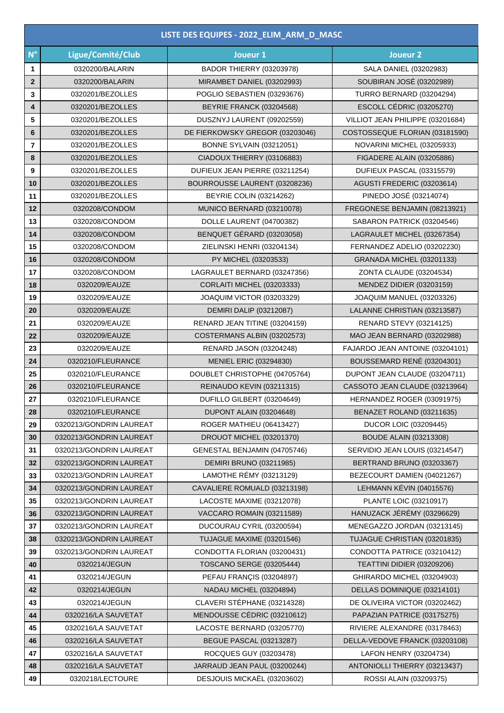|                         | LISTE DES EQUIPES - 2022_ELIM_ARM_D_MASC |                                   |                                  |  |  |
|-------------------------|------------------------------------------|-----------------------------------|----------------------------------|--|--|
| $N^{\circ}$             | Ligue/Comité/Club                        | Joueur 1                          | Joueur 2                         |  |  |
| 1                       | 0320200/BALARIN                          | <b>BADOR THIERRY (03203978)</b>   | SALA DANIEL (03202983)           |  |  |
| $\mathbf{2}$            | 0320200/BALARIN                          | MIRAMBET DANIEL (03202993)        | SOUBIRAN JOSÉ (03202989)         |  |  |
| 3                       | 0320201/BEZOLLES                         | POGLIO SEBASTIEN (03293676)       | TURRO BERNARD (03204294)         |  |  |
| 4                       | 0320201/BEZOLLES                         | BEYRIE FRANCK (03204568)          | <b>ESCOLL CÉDRIC (03205270)</b>  |  |  |
| 5                       | 0320201/BEZOLLES                         | DUSZNYJ LAURENT (09202559)        | VILLIOT JEAN PHILIPPE (03201684) |  |  |
| 6                       | 0320201/BEZOLLES                         | DE FIERKOWSKY GREGOR (03203046)   | COSTOSSEQUE FLORIAN (03181590)   |  |  |
| $\overline{\mathbf{r}}$ | 0320201/BEZOLLES                         | <b>BONNE SYLVAIN (03212051)</b>   | NOVARINI MICHEL (03205933)       |  |  |
| 8                       | 0320201/BEZOLLES                         | CIADOUX THIERRY (03106883)        | FIGADERE ALAIN (03205886)        |  |  |
| 9                       | 0320201/BEZOLLES                         | DUFIEUX JEAN PIERRE (03211254)    | DUFIEUX PASCAL (03315579)        |  |  |
| 10                      | 0320201/BEZOLLES                         | BOURROUSSE LAURENT (03208236)     | AGUSTI FREDERIC (03203614)       |  |  |
| 11                      | 0320201/BEZOLLES                         | BEYRIE COLIN (03214262)           | PINEDO JOSÉ (03214074)           |  |  |
| 12                      | 0320208/CONDOM                           | MUNICO BERNARD (03210078)         | FREGONESE BENJAMIN (08213921)    |  |  |
| 13                      | 0320208/CONDOM                           | DOLLE LAURENT (04700382)          | SABARON PATRICK (03204546)       |  |  |
| 14                      | 0320208/CONDOM                           | BENQUET GÉRARD (03203058)         | LAGRAULET MICHEL (03267354)      |  |  |
| 15                      | 0320208/CONDOM                           | ZIELINSKI HENRI (03204134)        | FERNANDEZ ADELIO (03202230)      |  |  |
| 16                      | 0320208/CONDOM                           | PY MICHEL (03203533)              | GRANADA MICHEL (03201133)        |  |  |
| 17                      | 0320208/CONDOM                           | LAGRAULET BERNARD (03247356)      | ZONTA CLAUDE (03204534)          |  |  |
| 18                      | 0320209/EAUZE                            | <b>CORLAITI MICHEL (03203333)</b> | MENDEZ DIDIER (03203159)         |  |  |
| 19                      | 0320209/EAUZE                            | JOAQUIM VICTOR (03203329)         | JOAQUIM MANUEL (03203326)        |  |  |
| 20                      | 0320209/EAUZE                            | <b>DEMIRI DALIP (03212087)</b>    | LALANNE CHRISTIAN (03213587)     |  |  |
| 21                      | 0320209/EAUZE                            | RENARD JEAN TITINE (03204159)     | <b>RENARD STEVY (03214125)</b>   |  |  |
| 22                      | 0320209/EAUZE                            | COSTERMANS ALBIN (03202573)       | MAO JEAN BERNARD (03202988)      |  |  |
| 23                      | 0320209/EAUZE                            | <b>RENARD JASON (03204248)</b>    | FAJARDO JEAN ANTOINE (03204101)  |  |  |
| 24                      | 0320210/FLEURANCE                        | MENIEL ERIC (03294830)            | BOUSSEMARD RENÉ (03204301)       |  |  |
| 25                      | 0320210/FLEURANCE                        | DOUBLET CHRISTOPHE (04705764)     | DUPONT JEAN CLAUDE (03204711)    |  |  |
| 26                      | 0320210/FLEURANCE                        | REINAUDO KEVIN (03211315)         | CASSOTO JEAN CLAUDE (03213964)   |  |  |
| 27                      | 0320210/FLEURANCE                        | DUFILLO GILBERT (03204649)        | HERNANDEZ ROGER (03091975)       |  |  |
| 28                      | 0320210/FLEURANCE                        | DUPONT ALAIN (03204648)           | BENAZET ROLAND (03211635)        |  |  |
| 29                      | 0320213/GONDRIN LAUREAT                  | ROGER MATHIEU (06413427)          | <b>DUCOR LOIC (03209445)</b>     |  |  |
| 30                      | 0320213/GONDRIN LAUREAT                  | DROUOT MICHEL (03201370)          | <b>BOUDE ALAIN (03213308)</b>    |  |  |
| 31                      | 0320213/GONDRIN LAUREAT                  | GENESTAL BENJAMIN (04705746)      | SERVIDIO JEAN LOUIS (03214547)   |  |  |
| 32                      | 0320213/GONDRIN LAUREAT                  | DEMIRI BRUNO (03211985)           | BERTRAND BRUNO (03203367)        |  |  |
| 33                      | 0320213/GONDRIN LAUREAT                  | LAMOTHE RÉMY (03213129)           | BEZECOURT DAMIEN (04021267)      |  |  |
| 34                      | 0320213/GONDRIN LAUREAT                  | CAVALIERE ROMUALD (03213198)      | LEHMANN KÉVIN (04015576)         |  |  |
| 35                      | 0320213/GONDRIN LAUREAT                  | LACOSTE MAXIME (03212078)         | PLANTE LOIC (03210917)           |  |  |
| 36                      | 0320213/GONDRIN LAUREAT                  | VACCARO ROMAIN (03211589)         | HANUZACK JÉRÉMY (03296629)       |  |  |
| 37                      | 0320213/GONDRIN LAUREAT                  | DUCOURAU CYRIL (03200594)         | MENEGAZZO JORDAN (03213145)      |  |  |
| 38                      | 0320213/GONDRIN LAUREAT                  | TUJAGUE MAXIME (03201546)         | TUJAGUE CHRISTIAN (03201835)     |  |  |
| 39                      | 0320213/GONDRIN LAUREAT                  | CONDOTTA FLORIAN (03200431)       | CONDOTTA PATRICE (03210412)      |  |  |
| 40                      | 0320214/JEGUN                            | <b>TOSCANO SERGE (03205444)</b>   | TEATTINI DIDIER (03209206)       |  |  |
| 41                      | 0320214/JEGUN                            | PEFAU FRANÇIS (03204897)          | GHIRARDO MICHEL (03204903)       |  |  |
| 42                      | 0320214/JEGUN                            | NADAU MICHEL (03204894)           | DELLAS DOMINIQUE (03214101)      |  |  |
| 43                      | 0320214/JEGUN                            | CLAVERI STÉPHANE (03214328)       | DE OLIVEIRA VICTOR (03202462)    |  |  |
| 44                      | 0320216/LA SAUVETAT                      | MENDOUSSE CÉDRIC (03210612)       | PAPAZIAN PATRICE (03175275)      |  |  |
| 45                      | 0320216/LA SAUVETAT                      | LACOSTE BERNARD (03205770)        | RIVIERE ALEXANDRE (03178463)     |  |  |
| 46                      | 0320216/LA SAUVETAT                      | <b>BEGUE PASCAL (03213287)</b>    | DELLA-VEDOVE FRANCK (03203108)   |  |  |
| 47                      | 0320216/LA SAUVETAT                      | ROCQUES GUY (03203478)            | LAFON HENRY (03204734)           |  |  |
| 48                      | 0320216/LA SAUVETAT                      | JARRAUD JEAN PAUL (03200244)      | ANTONIOLLI THIERRY (03213437)    |  |  |
| 49                      | 0320218/LECTOURE                         | DESJOUIS MICKAËL (03203602)       | ROSSI ALAIN (03209375)           |  |  |